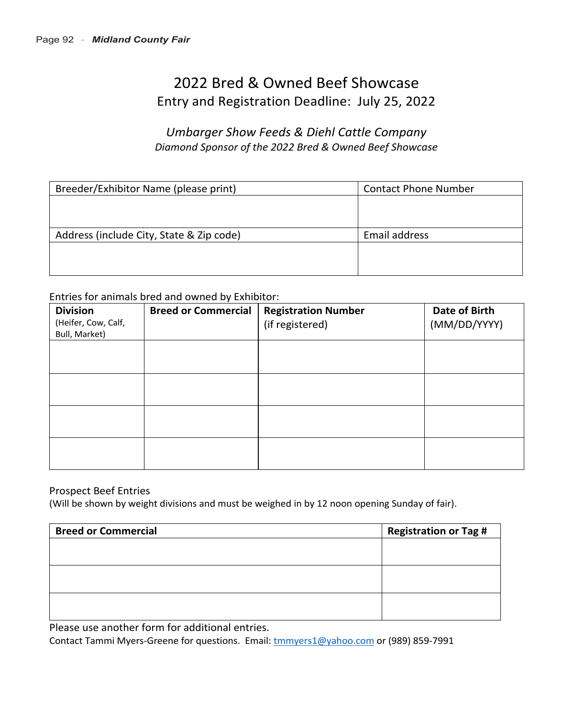# 2022 Bred & Owned Beef Showcase Entry and Registration Deadline: July 25, 2022

# *Umbarger Show Feeds & Diehl Cattle Company Diamond Sponsor of the 2022 Bred & Owned Beef Showcase*

| Breeder/Exhibitor Name (please print)    | <b>Contact Phone Number</b> |  |
|------------------------------------------|-----------------------------|--|
|                                          |                             |  |
|                                          |                             |  |
| Address (include City, State & Zip code) | Email address               |  |
|                                          |                             |  |
|                                          |                             |  |

Entries for animals bred and owned by Exhibitor:

| <b>Division</b><br>(Heifer, Cow, Calf,<br>Bull, Market) | <b>Breed or Commercial</b> | <b>Registration Number</b><br>(if registered) | Date of Birth<br>(MM/DD/YYYY) |
|---------------------------------------------------------|----------------------------|-----------------------------------------------|-------------------------------|
|                                                         |                            |                                               |                               |
|                                                         |                            |                                               |                               |
|                                                         |                            |                                               |                               |
|                                                         |                            |                                               |                               |

### Prospect Beef Entries

(Will be shown by weight divisions and must be weighed in by 12 noon opening Sunday of fair).

| <b>Breed or Commercial</b> | <b>Registration or Tag #</b> |
|----------------------------|------------------------------|
|                            |                              |
|                            |                              |
|                            |                              |
|                            |                              |
|                            |                              |
|                            |                              |

Please use another form for additional entries.

Contact Tammi Myers-Greene for questions. Email: tmmyers1@yahoo.com or (989) 859-7991